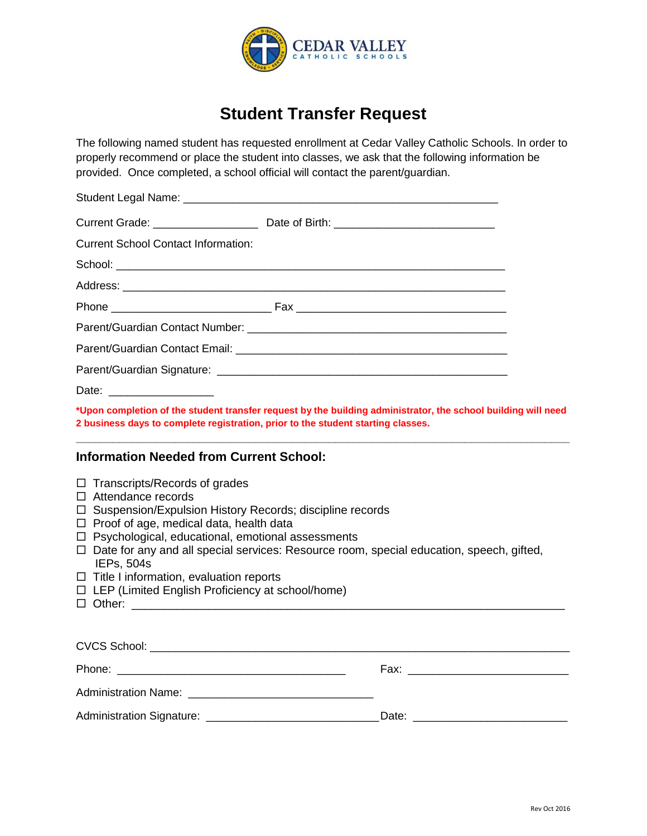

## **Student Transfer Request**

The following named student has requested enrollment at Cedar Valley Catholic Schools. In order to properly recommend or place the student into classes, we ask that the following information be provided. Once completed, a school official will contact the parent/guardian.

| <b>Current School Contact Information:</b>                                                                                                                                                                                                                                                                                                                               |                                                                                                 |  |
|--------------------------------------------------------------------------------------------------------------------------------------------------------------------------------------------------------------------------------------------------------------------------------------------------------------------------------------------------------------------------|-------------------------------------------------------------------------------------------------|--|
|                                                                                                                                                                                                                                                                                                                                                                          |                                                                                                 |  |
|                                                                                                                                                                                                                                                                                                                                                                          |                                                                                                 |  |
|                                                                                                                                                                                                                                                                                                                                                                          |                                                                                                 |  |
|                                                                                                                                                                                                                                                                                                                                                                          |                                                                                                 |  |
|                                                                                                                                                                                                                                                                                                                                                                          |                                                                                                 |  |
|                                                                                                                                                                                                                                                                                                                                                                          |                                                                                                 |  |
| Date: ___________________                                                                                                                                                                                                                                                                                                                                                |                                                                                                 |  |
| *Upon completion of the student transfer request by the building administrator, the school building will need<br>2 business days to complete registration, prior to the student starting classes.                                                                                                                                                                        |                                                                                                 |  |
| <b>Information Needed from Current School:</b>                                                                                                                                                                                                                                                                                                                           |                                                                                                 |  |
| $\Box$ Transcripts/Records of grades<br>$\Box$ Attendance records<br>□ Suspension/Expulsion History Records; discipline records<br>$\Box$ Proof of age, medical data, health data<br>$\Box$ Psychological, educational, emotional assessments<br>IEPs, 504s<br>$\Box$ Title I information, evaluation reports<br>$\Box$ LEP (Limited English Proficiency at school/home) | $\Box$ Date for any and all special services: Resource room, special education, speech, gifted, |  |
|                                                                                                                                                                                                                                                                                                                                                                          |                                                                                                 |  |
|                                                                                                                                                                                                                                                                                                                                                                          |                                                                                                 |  |
|                                                                                                                                                                                                                                                                                                                                                                          |                                                                                                 |  |
|                                                                                                                                                                                                                                                                                                                                                                          |                                                                                                 |  |